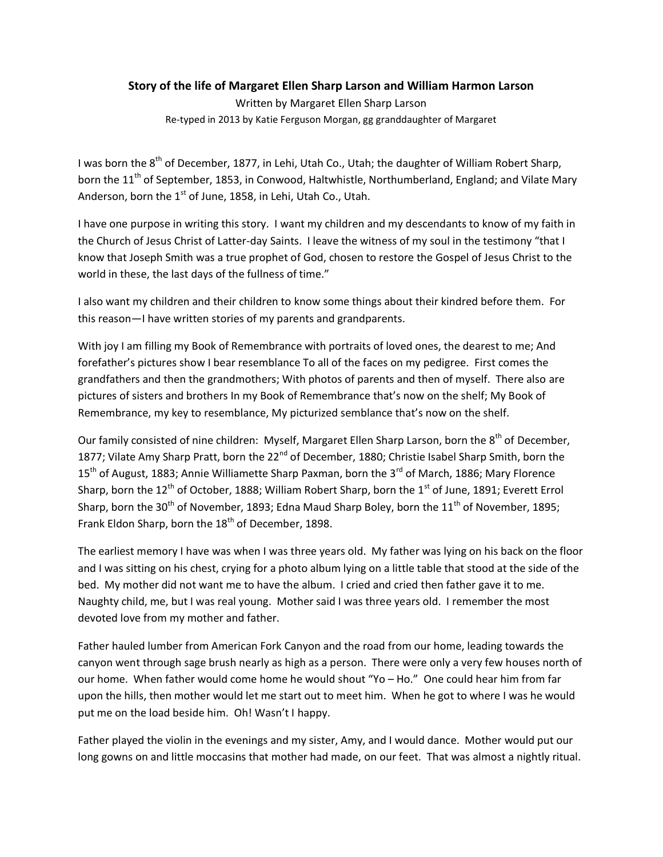## **Story of the life of Margaret Ellen Sharp Larson and William Harmon Larson**

Written by Margaret Ellen Sharp Larson Re-typed in 2013 by Katie Ferguson Morgan, gg granddaughter of Margaret

I was born the 8<sup>th</sup> of December, 1877, in Lehi, Utah Co., Utah; the daughter of William Robert Sharp, born the 11<sup>th</sup> of September, 1853, in Conwood, Haltwhistle, Northumberland, England; and Vilate Mary Anderson, born the  $1<sup>st</sup>$  of June, 1858, in Lehi, Utah Co., Utah.

I have one purpose in writing this story. I want my children and my descendants to know of my faith in the Church of Jesus Christ of Latter-day Saints. I leave the witness of my soul in the testimony "that I know that Joseph Smith was a true prophet of God, chosen to restore the Gospel of Jesus Christ to the world in these, the last days of the fullness of time."

I also want my children and their children to know some things about their kindred before them. For this reason—I have written stories of my parents and grandparents.

With joy I am filling my Book of Remembrance with portraits of loved ones, the dearest to me; And forefather's pictures show I bear resemblance To all of the faces on my pedigree. First comes the grandfathers and then the grandmothers; With photos of parents and then of myself. There also are pictures of sisters and brothers In my Book of Remembrance that's now on the shelf; My Book of Remembrance, my key to resemblance, My picturized semblance that's now on the shelf.

Our family consisted of nine children: Myself, Margaret Ellen Sharp Larson, born the 8<sup>th</sup> of December, 1877; Vilate Amy Sharp Pratt, born the 22<sup>nd</sup> of December, 1880; Christie Isabel Sharp Smith, born the  $15<sup>th</sup>$  of August, 1883; Annie Williamette Sharp Paxman, born the 3 $<sup>rd</sup>$  of March, 1886; Mary Florence</sup> Sharp, born the 12<sup>th</sup> of October, 1888; William Robert Sharp, born the 1<sup>st</sup> of June, 1891; Everett Errol Sharp, born the 30<sup>th</sup> of November, 1893; Edna Maud Sharp Boley, born the 11<sup>th</sup> of November, 1895; Frank Eldon Sharp, born the 18<sup>th</sup> of December, 1898.

The earliest memory I have was when I was three years old. My father was lying on his back on the floor and I was sitting on his chest, crying for a photo album lying on a little table that stood at the side of the bed. My mother did not want me to have the album. I cried and cried then father gave it to me. Naughty child, me, but I was real young. Mother said I was three years old. I remember the most devoted love from my mother and father.

Father hauled lumber from American Fork Canyon and the road from our home, leading towards the canyon went through sage brush nearly as high as a person. There were only a very few houses north of our home. When father would come home he would shout "Yo – Ho." One could hear him from far upon the hills, then mother would let me start out to meet him. When he got to where I was he would put me on the load beside him. Oh! Wasn't I happy.

Father played the violin in the evenings and my sister, Amy, and I would dance. Mother would put our long gowns on and little moccasins that mother had made, on our feet. That was almost a nightly ritual.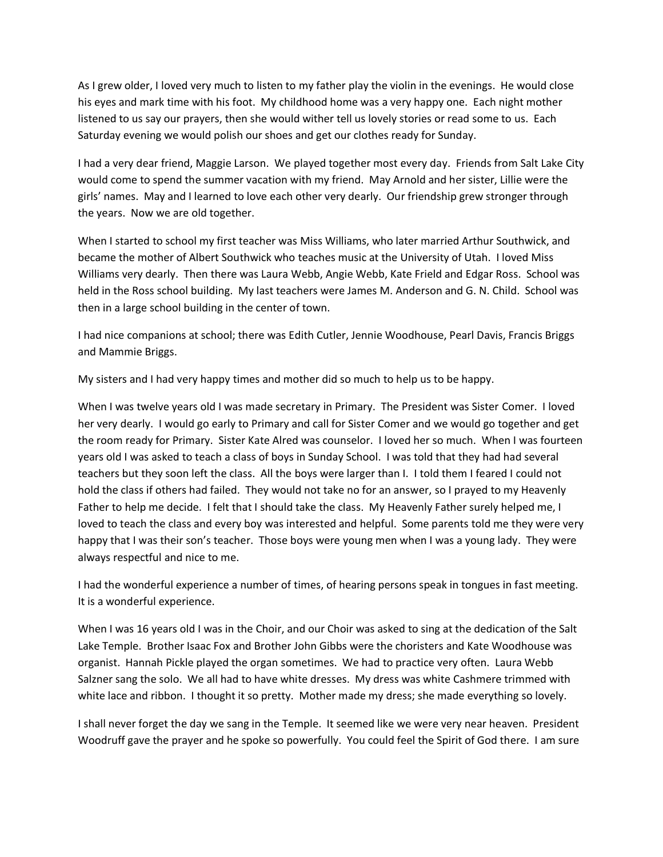As I grew older, I loved very much to listen to my father play the violin in the evenings. He would close his eyes and mark time with his foot. My childhood home was a very happy one. Each night mother listened to us say our prayers, then she would wither tell us lovely stories or read some to us. Each Saturday evening we would polish our shoes and get our clothes ready for Sunday.

I had a very dear friend, Maggie Larson. We played together most every day. Friends from Salt Lake City would come to spend the summer vacation with my friend. May Arnold and her sister, Lillie were the girls' names. May and I learned to love each other very dearly. Our friendship grew stronger through the years. Now we are old together.

When I started to school my first teacher was Miss Williams, who later married Arthur Southwick, and became the mother of Albert Southwick who teaches music at the University of Utah. I loved Miss Williams very dearly. Then there was Laura Webb, Angie Webb, Kate Frield and Edgar Ross. School was held in the Ross school building. My last teachers were James M. Anderson and G. N. Child. School was then in a large school building in the center of town.

I had nice companions at school; there was Edith Cutler, Jennie Woodhouse, Pearl Davis, Francis Briggs and Mammie Briggs.

My sisters and I had very happy times and mother did so much to help us to be happy.

When I was twelve years old I was made secretary in Primary. The President was Sister Comer. I loved her very dearly. I would go early to Primary and call for Sister Comer and we would go together and get the room ready for Primary. Sister Kate Alred was counselor. I loved her so much. When I was fourteen years old I was asked to teach a class of boys in Sunday School. I was told that they had had several teachers but they soon left the class. All the boys were larger than I. I told them I feared I could not hold the class if others had failed. They would not take no for an answer, so I prayed to my Heavenly Father to help me decide. I felt that I should take the class. My Heavenly Father surely helped me, I loved to teach the class and every boy was interested and helpful. Some parents told me they were very happy that I was their son's teacher. Those boys were young men when I was a young lady. They were always respectful and nice to me.

I had the wonderful experience a number of times, of hearing persons speak in tongues in fast meeting. It is a wonderful experience.

When I was 16 years old I was in the Choir, and our Choir was asked to sing at the dedication of the Salt Lake Temple. Brother Isaac Fox and Brother John Gibbs were the choristers and Kate Woodhouse was organist. Hannah Pickle played the organ sometimes. We had to practice very often. Laura Webb Salzner sang the solo. We all had to have white dresses. My dress was white Cashmere trimmed with white lace and ribbon. I thought it so pretty. Mother made my dress; she made everything so lovely.

I shall never forget the day we sang in the Temple. It seemed like we were very near heaven. President Woodruff gave the prayer and he spoke so powerfully. You could feel the Spirit of God there. I am sure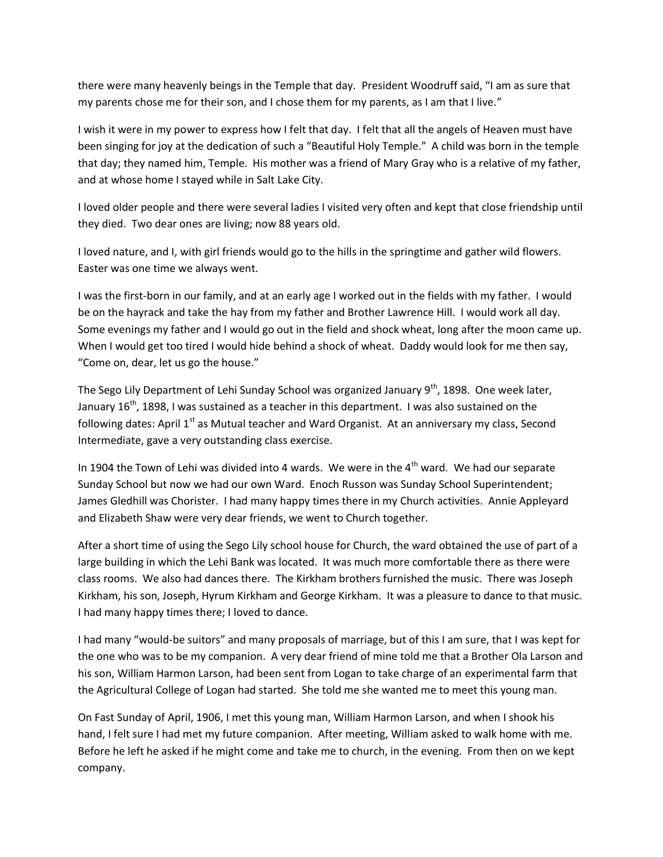there were many heavenly beings in the Temple that day. President Woodruff said, "I am as sure that my parents chose me for their son, and I chose them for my parents, as I am that I live."

I wish it were in my power to express how I felt that day. I felt that all the angels of Heaven must have been singing for joy at the dedication of such a "Beautiful Holy Temple." A child was born in the temple that day; they named him, Temple. His mother was a friend of Mary Gray who is a relative of my father, and at whose home I stayed while in Salt Lake City.

I loved older people and there were several ladies I visited very often and kept that close friendship until they died. Two dear ones are living; now 88 years old.

I loved nature, and I, with girl friends would go to the hills in the springtime and gather wild flowers. Easter was one time we always went.

I was the first-born in our family, and at an early age I worked out in the fields with my father. I would be on the hayrack and take the hay from my father and Brother Lawrence Hill. I would work all day. Some evenings my father and I would go out in the field and shock wheat, long after the moon came up. When I would get too tired I would hide behind a shock of wheat. Daddy would look for me then say, "Come on, dear, let us go the house."

The Sego Lily Department of Lehi Sunday School was organized January 9th, 1898. One week later, January  $16^{th}$ , 1898, I was sustained as a teacher in this department. I was also sustained on the following dates: April 1<sup>st</sup> as Mutual teacher and Ward Organist. At an anniversary my class, Second Intermediate, gave a very outstanding class exercise.

In 1904 the Town of Lehi was divided into 4 wards. We were in the  $4<sup>th</sup>$  ward. We had our separate Sunday School but now we had our own Ward. Enoch Russon was Sunday School Superintendent; James Gledhill was Chorister. I had many happy times there in my Church activities. Annie Appleyard and Elizabeth Shaw were very dear friends, we went to Church together.

After a short time of using the Sego Lily school house for Church, the ward obtained the use of part of a large building in which the Lehi Bank was located. It was much more comfortable there as there were class rooms. We also had dances there. The Kirkham brothers furnished the music. There was Joseph Kirkham, his son, Joseph, Hyrum Kirkham and George Kirkham. It was a pleasure to dance to that music. I had many happy times there; I loved to dance.

I had many "would-be suitors" and many proposals of marriage, but of this I am sure, that I was kept for the one who was to be my companion. A very dear friend of mine told me that a Brother Ola Larson and his son, William Harmon Larson, had been sent from Logan to take charge of an experimental farm that the Agricultural College of Logan had started. She told me she wanted me to meet this young man.

On Fast Sunday of April, 1906, I met this young man, William Harmon Larson, and when I shook his hand, I felt sure I had met my future companion. After meeting, William asked to walk home with me. Before he left he asked if he might come and take me to church, in the evening. From then on we kept company.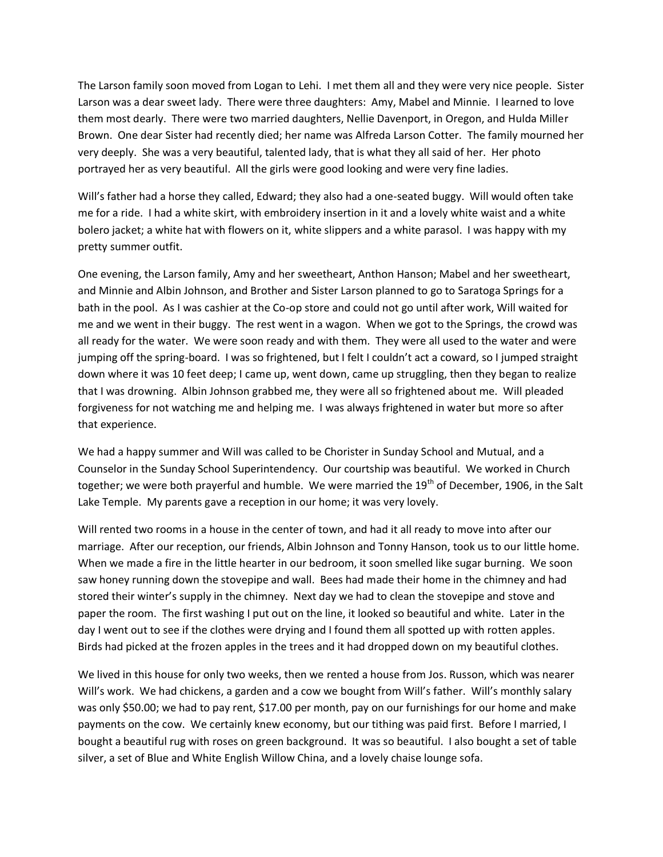The Larson family soon moved from Logan to Lehi. I met them all and they were very nice people. Sister Larson was a dear sweet lady. There were three daughters: Amy, Mabel and Minnie. I learned to love them most dearly. There were two married daughters, Nellie Davenport, in Oregon, and Hulda Miller Brown. One dear Sister had recently died; her name was Alfreda Larson Cotter. The family mourned her very deeply. She was a very beautiful, talented lady, that is what they all said of her. Her photo portrayed her as very beautiful. All the girls were good looking and were very fine ladies.

Will's father had a horse they called, Edward; they also had a one-seated buggy. Will would often take me for a ride. I had a white skirt, with embroidery insertion in it and a lovely white waist and a white bolero jacket; a white hat with flowers on it, white slippers and a white parasol. I was happy with my pretty summer outfit.

One evening, the Larson family, Amy and her sweetheart, Anthon Hanson; Mabel and her sweetheart, and Minnie and Albin Johnson, and Brother and Sister Larson planned to go to Saratoga Springs for a bath in the pool. As I was cashier at the Co-op store and could not go until after work, Will waited for me and we went in their buggy. The rest went in a wagon. When we got to the Springs, the crowd was all ready for the water. We were soon ready and with them. They were all used to the water and were jumping off the spring-board. I was so frightened, but I felt I couldn't act a coward, so I jumped straight down where it was 10 feet deep; I came up, went down, came up struggling, then they began to realize that I was drowning. Albin Johnson grabbed me, they were all so frightened about me. Will pleaded forgiveness for not watching me and helping me. I was always frightened in water but more so after that experience.

We had a happy summer and Will was called to be Chorister in Sunday School and Mutual, and a Counselor in the Sunday School Superintendency. Our courtship was beautiful. We worked in Church together; we were both prayerful and humble. We were married the 19<sup>th</sup> of December, 1906, in the Salt Lake Temple. My parents gave a reception in our home; it was very lovely.

Will rented two rooms in a house in the center of town, and had it all ready to move into after our marriage. After our reception, our friends, Albin Johnson and Tonny Hanson, took us to our little home. When we made a fire in the little hearter in our bedroom, it soon smelled like sugar burning. We soon saw honey running down the stovepipe and wall. Bees had made their home in the chimney and had stored their winter's supply in the chimney. Next day we had to clean the stovepipe and stove and paper the room. The first washing I put out on the line, it looked so beautiful and white. Later in the day I went out to see if the clothes were drying and I found them all spotted up with rotten apples. Birds had picked at the frozen apples in the trees and it had dropped down on my beautiful clothes.

We lived in this house for only two weeks, then we rented a house from Jos. Russon, which was nearer Will's work. We had chickens, a garden and a cow we bought from Will's father. Will's monthly salary was only \$50.00; we had to pay rent, \$17.00 per month, pay on our furnishings for our home and make payments on the cow. We certainly knew economy, but our tithing was paid first. Before I married, I bought a beautiful rug with roses on green background. It was so beautiful. I also bought a set of table silver, a set of Blue and White English Willow China, and a lovely chaise lounge sofa.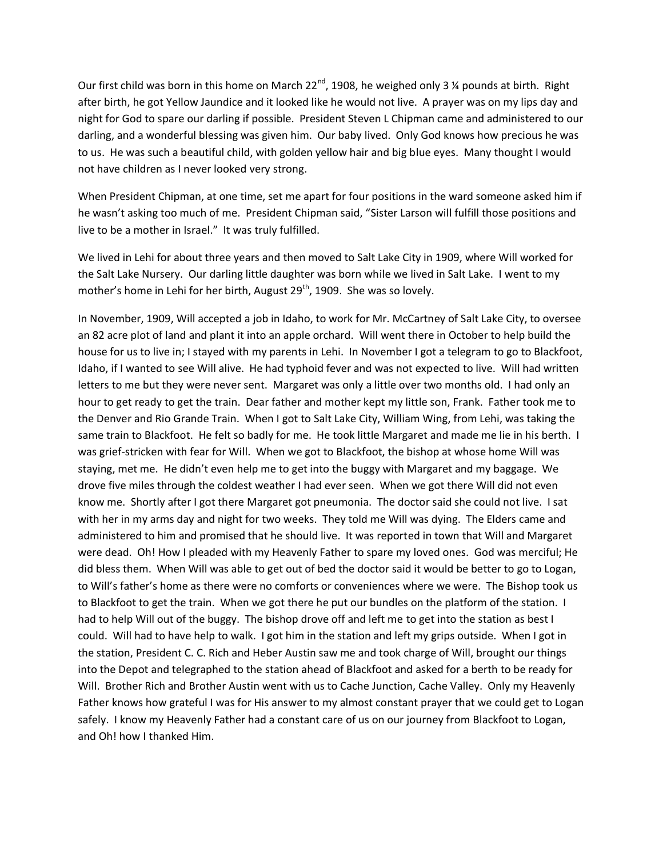Our first child was born in this home on March 22<sup>nd</sup>, 1908, he weighed only 3 ¼ pounds at birth. Right after birth, he got Yellow Jaundice and it looked like he would not live. A prayer was on my lips day and night for God to spare our darling if possible. President Steven L Chipman came and administered to our darling, and a wonderful blessing was given him. Our baby lived. Only God knows how precious he was to us. He was such a beautiful child, with golden yellow hair and big blue eyes. Many thought I would not have children as I never looked very strong.

When President Chipman, at one time, set me apart for four positions in the ward someone asked him if he wasn't asking too much of me. President Chipman said, "Sister Larson will fulfill those positions and live to be a mother in Israel." It was truly fulfilled.

We lived in Lehi for about three years and then moved to Salt Lake City in 1909, where Will worked for the Salt Lake Nursery. Our darling little daughter was born while we lived in Salt Lake. I went to my mother's home in Lehi for her birth, August  $29<sup>th</sup>$ , 1909. She was so lovely.

In November, 1909, Will accepted a job in Idaho, to work for Mr. McCartney of Salt Lake City, to oversee an 82 acre plot of land and plant it into an apple orchard. Will went there in October to help build the house for us to live in; I stayed with my parents in Lehi. In November I got a telegram to go to Blackfoot, Idaho, if I wanted to see Will alive. He had typhoid fever and was not expected to live. Will had written letters to me but they were never sent. Margaret was only a little over two months old. I had only an hour to get ready to get the train. Dear father and mother kept my little son, Frank. Father took me to the Denver and Rio Grande Train. When I got to Salt Lake City, William Wing, from Lehi, was taking the same train to Blackfoot. He felt so badly for me. He took little Margaret and made me lie in his berth. I was grief-stricken with fear for Will. When we got to Blackfoot, the bishop at whose home Will was staying, met me. He didn't even help me to get into the buggy with Margaret and my baggage. We drove five miles through the coldest weather I had ever seen. When we got there Will did not even know me. Shortly after I got there Margaret got pneumonia. The doctor said she could not live. I sat with her in my arms day and night for two weeks. They told me Will was dying. The Elders came and administered to him and promised that he should live. It was reported in town that Will and Margaret were dead. Oh! How I pleaded with my Heavenly Father to spare my loved ones. God was merciful; He did bless them. When Will was able to get out of bed the doctor said it would be better to go to Logan, to Will's father's home as there were no comforts or conveniences where we were. The Bishop took us to Blackfoot to get the train. When we got there he put our bundles on the platform of the station. I had to help Will out of the buggy. The bishop drove off and left me to get into the station as best I could. Will had to have help to walk. I got him in the station and left my grips outside. When I got in the station, President C. C. Rich and Heber Austin saw me and took charge of Will, brought our things into the Depot and telegraphed to the station ahead of Blackfoot and asked for a berth to be ready for Will. Brother Rich and Brother Austin went with us to Cache Junction, Cache Valley. Only my Heavenly Father knows how grateful I was for His answer to my almost constant prayer that we could get to Logan safely. I know my Heavenly Father had a constant care of us on our journey from Blackfoot to Logan, and Oh! how I thanked Him.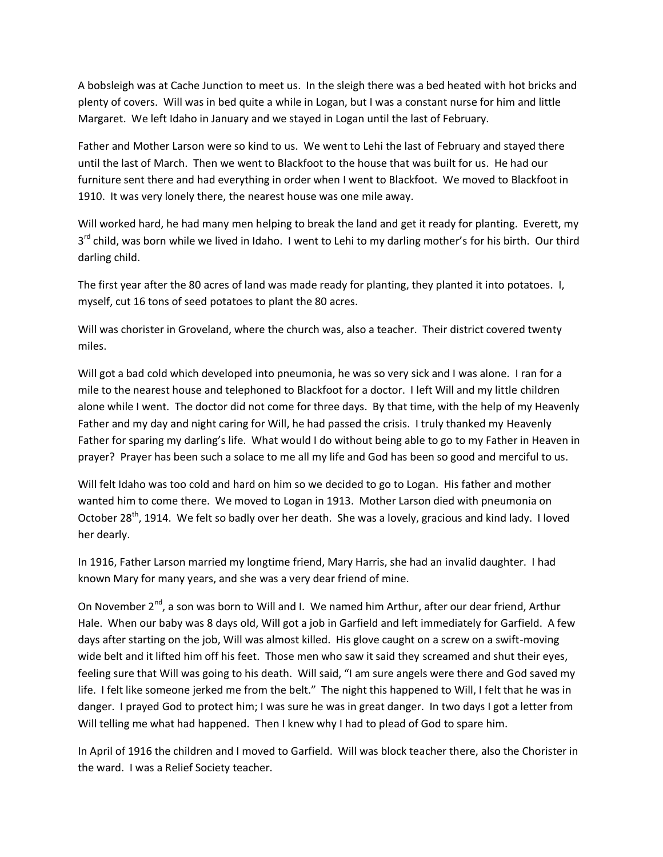A bobsleigh was at Cache Junction to meet us. In the sleigh there was a bed heated with hot bricks and plenty of covers. Will was in bed quite a while in Logan, but I was a constant nurse for him and little Margaret. We left Idaho in January and we stayed in Logan until the last of February.

Father and Mother Larson were so kind to us. We went to Lehi the last of February and stayed there until the last of March. Then we went to Blackfoot to the house that was built for us. He had our furniture sent there and had everything in order when I went to Blackfoot. We moved to Blackfoot in 1910. It was very lonely there, the nearest house was one mile away.

Will worked hard, he had many men helping to break the land and get it ready for planting. Everett, my 3<sup>rd</sup> child, was born while we lived in Idaho. I went to Lehi to my darling mother's for his birth. Our third darling child.

The first year after the 80 acres of land was made ready for planting, they planted it into potatoes. I, myself, cut 16 tons of seed potatoes to plant the 80 acres.

Will was chorister in Groveland, where the church was, also a teacher. Their district covered twenty miles.

Will got a bad cold which developed into pneumonia, he was so very sick and I was alone. I ran for a mile to the nearest house and telephoned to Blackfoot for a doctor. I left Will and my little children alone while I went. The doctor did not come for three days. By that time, with the help of my Heavenly Father and my day and night caring for Will, he had passed the crisis. I truly thanked my Heavenly Father for sparing my darling's life. What would I do without being able to go to my Father in Heaven in prayer? Prayer has been such a solace to me all my life and God has been so good and merciful to us.

Will felt Idaho was too cold and hard on him so we decided to go to Logan. His father and mother wanted him to come there. We moved to Logan in 1913. Mother Larson died with pneumonia on October 28<sup>th</sup>, 1914. We felt so badly over her death. She was a lovely, gracious and kind lady. I loved her dearly.

In 1916, Father Larson married my longtime friend, Mary Harris, she had an invalid daughter. I had known Mary for many years, and she was a very dear friend of mine.

On November 2<sup>nd</sup>, a son was born to Will and I. We named him Arthur, after our dear friend, Arthur Hale. When our baby was 8 days old, Will got a job in Garfield and left immediately for Garfield. A few days after starting on the job, Will was almost killed. His glove caught on a screw on a swift-moving wide belt and it lifted him off his feet. Those men who saw it said they screamed and shut their eyes, feeling sure that Will was going to his death. Will said, "I am sure angels were there and God saved my life. I felt like someone jerked me from the belt." The night this happened to Will, I felt that he was in danger. I prayed God to protect him; I was sure he was in great danger. In two days I got a letter from Will telling me what had happened. Then I knew why I had to plead of God to spare him.

In April of 1916 the children and I moved to Garfield. Will was block teacher there, also the Chorister in the ward. I was a Relief Society teacher.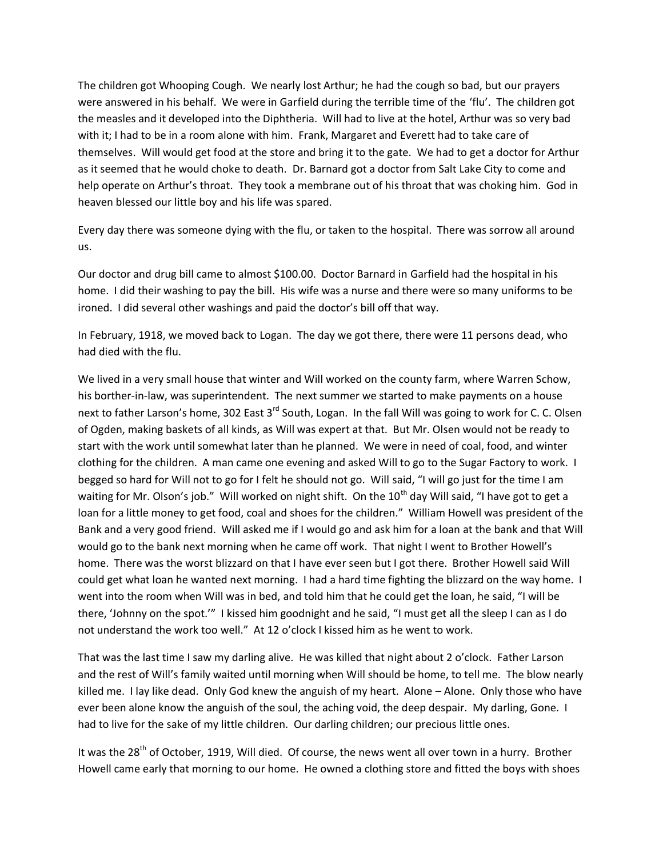The children got Whooping Cough. We nearly lost Arthur; he had the cough so bad, but our prayers were answered in his behalf. We were in Garfield during the terrible time of the 'flu'. The children got the measles and it developed into the Diphtheria. Will had to live at the hotel, Arthur was so very bad with it; I had to be in a room alone with him. Frank, Margaret and Everett had to take care of themselves. Will would get food at the store and bring it to the gate. We had to get a doctor for Arthur as it seemed that he would choke to death. Dr. Barnard got a doctor from Salt Lake City to come and help operate on Arthur's throat. They took a membrane out of his throat that was choking him. God in heaven blessed our little boy and his life was spared.

Every day there was someone dying with the flu, or taken to the hospital. There was sorrow all around us.

Our doctor and drug bill came to almost \$100.00. Doctor Barnard in Garfield had the hospital in his home. I did their washing to pay the bill. His wife was a nurse and there were so many uniforms to be ironed. I did several other washings and paid the doctor's bill off that way.

In February, 1918, we moved back to Logan. The day we got there, there were 11 persons dead, who had died with the flu.

We lived in a very small house that winter and Will worked on the county farm, where Warren Schow, his borther-in-law, was superintendent. The next summer we started to make payments on a house next to father Larson's home, 302 East 3<sup>rd</sup> South, Logan. In the fall Will was going to work for C. C. Olsen of Ogden, making baskets of all kinds, as Will was expert at that. But Mr. Olsen would not be ready to start with the work until somewhat later than he planned. We were in need of coal, food, and winter clothing for the children. A man came one evening and asked Will to go to the Sugar Factory to work. I begged so hard for Will not to go for I felt he should not go. Will said, "I will go just for the time I am waiting for Mr. Olson's job." Will worked on night shift. On the 10<sup>th</sup> day Will said, "I have got to get a loan for a little money to get food, coal and shoes for the children." William Howell was president of the Bank and a very good friend. Will asked me if I would go and ask him for a loan at the bank and that Will would go to the bank next morning when he came off work. That night I went to Brother Howell's home. There was the worst blizzard on that I have ever seen but I got there. Brother Howell said Will could get what loan he wanted next morning. I had a hard time fighting the blizzard on the way home. I went into the room when Will was in bed, and told him that he could get the loan, he said, "I will be there, 'Johnny on the spot.'" I kissed him goodnight and he said, "I must get all the sleep I can as I do not understand the work too well." At 12 o'clock I kissed him as he went to work.

That was the last time I saw my darling alive. He was killed that night about 2 o'clock. Father Larson and the rest of Will's family waited until morning when Will should be home, to tell me. The blow nearly killed me. I lay like dead. Only God knew the anguish of my heart. Alone – Alone. Only those who have ever been alone know the anguish of the soul, the aching void, the deep despair. My darling, Gone. I had to live for the sake of my little children. Our darling children; our precious little ones.

It was the 28<sup>th</sup> of October, 1919, Will died. Of course, the news went all over town in a hurry. Brother Howell came early that morning to our home. He owned a clothing store and fitted the boys with shoes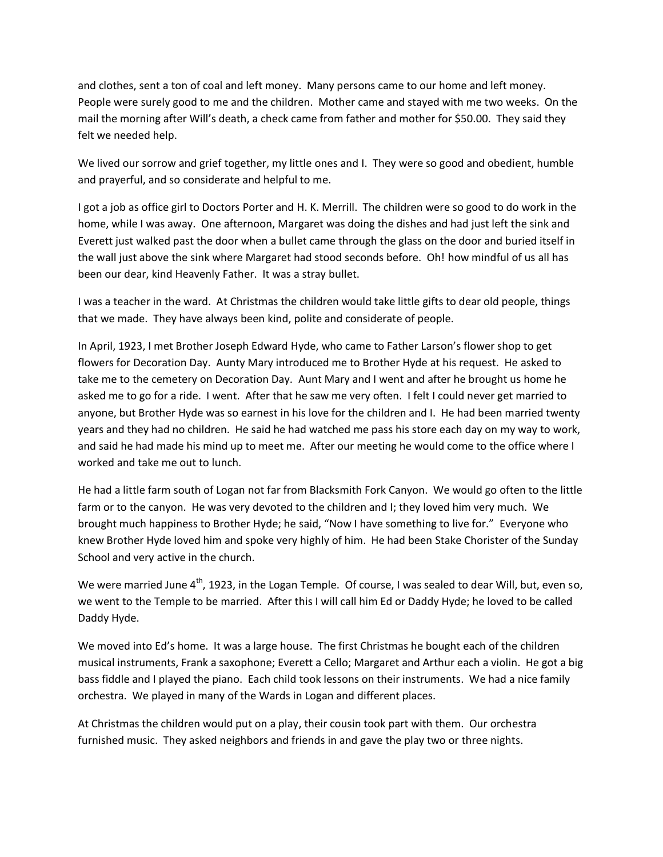and clothes, sent a ton of coal and left money. Many persons came to our home and left money. People were surely good to me and the children. Mother came and stayed with me two weeks. On the mail the morning after Will's death, a check came from father and mother for \$50.00. They said they felt we needed help.

We lived our sorrow and grief together, my little ones and I. They were so good and obedient, humble and prayerful, and so considerate and helpful to me.

I got a job as office girl to Doctors Porter and H. K. Merrill. The children were so good to do work in the home, while I was away. One afternoon, Margaret was doing the dishes and had just left the sink and Everett just walked past the door when a bullet came through the glass on the door and buried itself in the wall just above the sink where Margaret had stood seconds before. Oh! how mindful of us all has been our dear, kind Heavenly Father. It was a stray bullet.

I was a teacher in the ward. At Christmas the children would take little gifts to dear old people, things that we made. They have always been kind, polite and considerate of people.

In April, 1923, I met Brother Joseph Edward Hyde, who came to Father Larson's flower shop to get flowers for Decoration Day. Aunty Mary introduced me to Brother Hyde at his request. He asked to take me to the cemetery on Decoration Day. Aunt Mary and I went and after he brought us home he asked me to go for a ride. I went. After that he saw me very often. I felt I could never get married to anyone, but Brother Hyde was so earnest in his love for the children and I. He had been married twenty years and they had no children. He said he had watched me pass his store each day on my way to work, and said he had made his mind up to meet me. After our meeting he would come to the office where I worked and take me out to lunch.

He had a little farm south of Logan not far from Blacksmith Fork Canyon. We would go often to the little farm or to the canyon. He was very devoted to the children and I; they loved him very much. We brought much happiness to Brother Hyde; he said, "Now I have something to live for." Everyone who knew Brother Hyde loved him and spoke very highly of him. He had been Stake Chorister of the Sunday School and very active in the church.

We were married June  $4<sup>th</sup>$ , 1923, in the Logan Temple. Of course, I was sealed to dear Will, but, even so, we went to the Temple to be married. After this I will call him Ed or Daddy Hyde; he loved to be called Daddy Hyde.

We moved into Ed's home. It was a large house. The first Christmas he bought each of the children musical instruments, Frank a saxophone; Everett a Cello; Margaret and Arthur each a violin. He got a big bass fiddle and I played the piano. Each child took lessons on their instruments. We had a nice family orchestra. We played in many of the Wards in Logan and different places.

At Christmas the children would put on a play, their cousin took part with them. Our orchestra furnished music. They asked neighbors and friends in and gave the play two or three nights.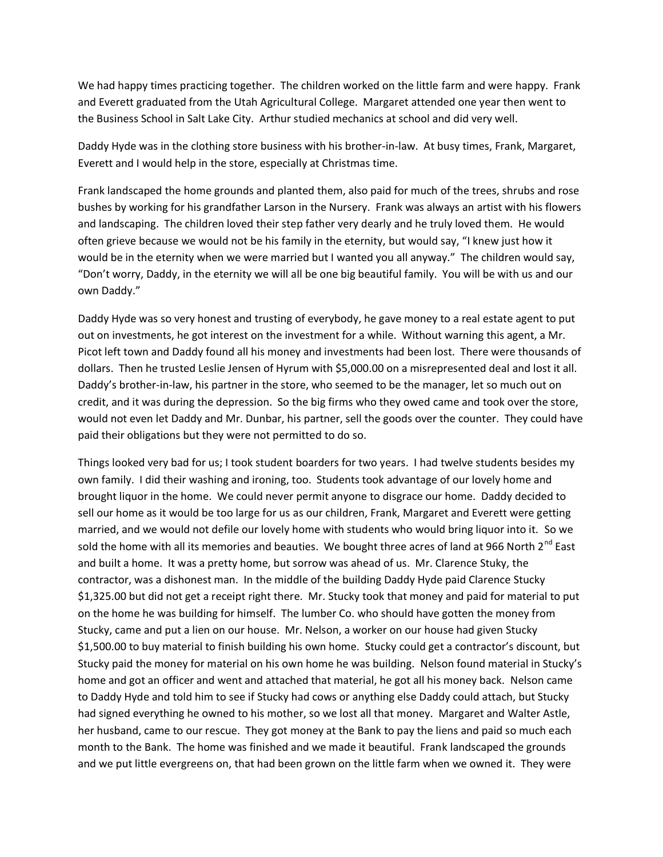We had happy times practicing together. The children worked on the little farm and were happy. Frank and Everett graduated from the Utah Agricultural College. Margaret attended one year then went to the Business School in Salt Lake City. Arthur studied mechanics at school and did very well.

Daddy Hyde was in the clothing store business with his brother-in-law. At busy times, Frank, Margaret, Everett and I would help in the store, especially at Christmas time.

Frank landscaped the home grounds and planted them, also paid for much of the trees, shrubs and rose bushes by working for his grandfather Larson in the Nursery. Frank was always an artist with his flowers and landscaping. The children loved their step father very dearly and he truly loved them. He would often grieve because we would not be his family in the eternity, but would say, "I knew just how it would be in the eternity when we were married but I wanted you all anyway." The children would say, "Don't worry, Daddy, in the eternity we will all be one big beautiful family. You will be with us and our own Daddy."

Daddy Hyde was so very honest and trusting of everybody, he gave money to a real estate agent to put out on investments, he got interest on the investment for a while. Without warning this agent, a Mr. Picot left town and Daddy found all his money and investments had been lost. There were thousands of dollars. Then he trusted Leslie Jensen of Hyrum with \$5,000.00 on a misrepresented deal and lost it all. Daddy's brother-in-law, his partner in the store, who seemed to be the manager, let so much out on credit, and it was during the depression. So the big firms who they owed came and took over the store, would not even let Daddy and Mr. Dunbar, his partner, sell the goods over the counter. They could have paid their obligations but they were not permitted to do so.

Things looked very bad for us; I took student boarders for two years. I had twelve students besides my own family. I did their washing and ironing, too. Students took advantage of our lovely home and brought liquor in the home. We could never permit anyone to disgrace our home. Daddy decided to sell our home as it would be too large for us as our children, Frank, Margaret and Everett were getting married, and we would not defile our lovely home with students who would bring liquor into it. So we sold the home with all its memories and beauties. We bought three acres of land at 966 North 2<sup>nd</sup> East and built a home. It was a pretty home, but sorrow was ahead of us. Mr. Clarence Stuky, the contractor, was a dishonest man. In the middle of the building Daddy Hyde paid Clarence Stucky \$1,325.00 but did not get a receipt right there. Mr. Stucky took that money and paid for material to put on the home he was building for himself. The lumber Co. who should have gotten the money from Stucky, came and put a lien on our house. Mr. Nelson, a worker on our house had given Stucky \$1,500.00 to buy material to finish building his own home. Stucky could get a contractor's discount, but Stucky paid the money for material on his own home he was building. Nelson found material in Stucky's home and got an officer and went and attached that material, he got all his money back. Nelson came to Daddy Hyde and told him to see if Stucky had cows or anything else Daddy could attach, but Stucky had signed everything he owned to his mother, so we lost all that money. Margaret and Walter Astle, her husband, came to our rescue. They got money at the Bank to pay the liens and paid so much each month to the Bank. The home was finished and we made it beautiful. Frank landscaped the grounds and we put little evergreens on, that had been grown on the little farm when we owned it. They were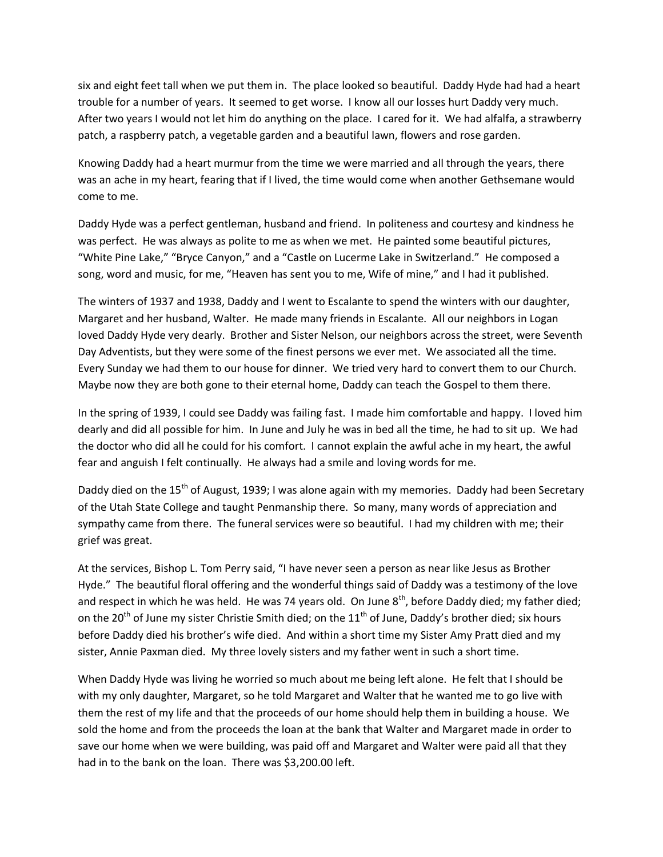six and eight feet tall when we put them in. The place looked so beautiful. Daddy Hyde had had a heart trouble for a number of years. It seemed to get worse. I know all our losses hurt Daddy very much. After two years I would not let him do anything on the place. I cared for it. We had alfalfa, a strawberry patch, a raspberry patch, a vegetable garden and a beautiful lawn, flowers and rose garden.

Knowing Daddy had a heart murmur from the time we were married and all through the years, there was an ache in my heart, fearing that if I lived, the time would come when another Gethsemane would come to me.

Daddy Hyde was a perfect gentleman, husband and friend. In politeness and courtesy and kindness he was perfect. He was always as polite to me as when we met. He painted some beautiful pictures, "White Pine Lake," "Bryce Canyon," and a "Castle on Lucerme Lake in Switzerland." He composed a song, word and music, for me, "Heaven has sent you to me, Wife of mine," and I had it published.

The winters of 1937 and 1938, Daddy and I went to Escalante to spend the winters with our daughter, Margaret and her husband, Walter. He made many friends in Escalante. All our neighbors in Logan loved Daddy Hyde very dearly. Brother and Sister Nelson, our neighbors across the street, were Seventh Day Adventists, but they were some of the finest persons we ever met. We associated all the time. Every Sunday we had them to our house for dinner. We tried very hard to convert them to our Church. Maybe now they are both gone to their eternal home, Daddy can teach the Gospel to them there.

In the spring of 1939, I could see Daddy was failing fast. I made him comfortable and happy. I loved him dearly and did all possible for him. In June and July he was in bed all the time, he had to sit up. We had the doctor who did all he could for his comfort. I cannot explain the awful ache in my heart, the awful fear and anguish I felt continually. He always had a smile and loving words for me.

Daddy died on the 15<sup>th</sup> of August, 1939; I was alone again with my memories. Daddy had been Secretary of the Utah State College and taught Penmanship there. So many, many words of appreciation and sympathy came from there. The funeral services were so beautiful. I had my children with me; their grief was great.

At the services, Bishop L. Tom Perry said, "I have never seen a person as near like Jesus as Brother Hyde." The beautiful floral offering and the wonderful things said of Daddy was a testimony of the love and respect in which he was held. He was 74 years old. On June  $8<sup>th</sup>$ , before Daddy died; my father died; on the 20<sup>th</sup> of June my sister Christie Smith died; on the 11<sup>th</sup> of June, Daddy's brother died; six hours before Daddy died his brother's wife died. And within a short time my Sister Amy Pratt died and my sister, Annie Paxman died. My three lovely sisters and my father went in such a short time.

When Daddy Hyde was living he worried so much about me being left alone. He felt that I should be with my only daughter, Margaret, so he told Margaret and Walter that he wanted me to go live with them the rest of my life and that the proceeds of our home should help them in building a house. We sold the home and from the proceeds the loan at the bank that Walter and Margaret made in order to save our home when we were building, was paid off and Margaret and Walter were paid all that they had in to the bank on the loan. There was \$3,200.00 left.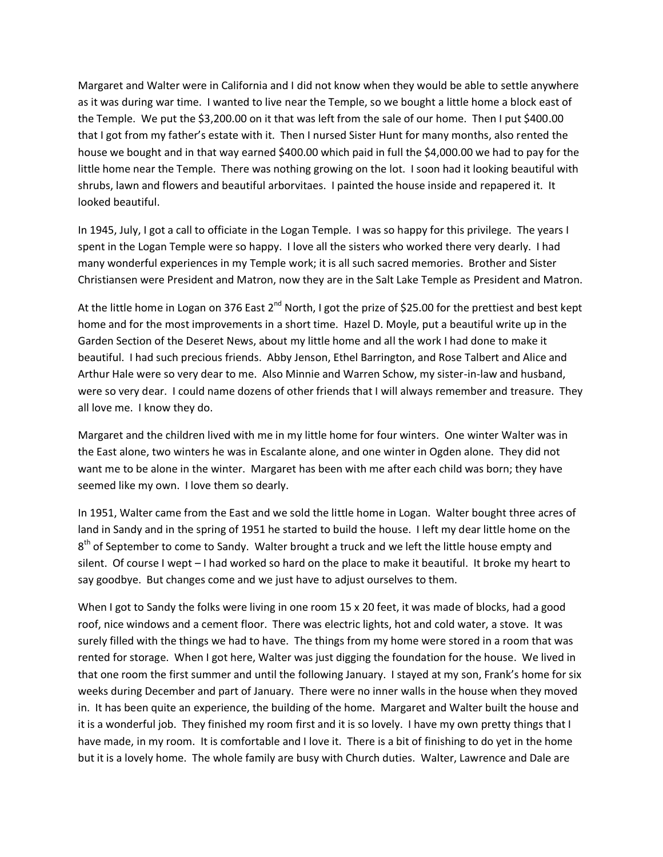Margaret and Walter were in California and I did not know when they would be able to settle anywhere as it was during war time. I wanted to live near the Temple, so we bought a little home a block east of the Temple. We put the \$3,200.00 on it that was left from the sale of our home. Then I put \$400.00 that I got from my father's estate with it. Then I nursed Sister Hunt for many months, also rented the house we bought and in that way earned \$400.00 which paid in full the \$4,000.00 we had to pay for the little home near the Temple. There was nothing growing on the lot. I soon had it looking beautiful with shrubs, lawn and flowers and beautiful arborvitaes. I painted the house inside and repapered it. It looked beautiful.

In 1945, July, I got a call to officiate in the Logan Temple. I was so happy for this privilege. The years I spent in the Logan Temple were so happy. I love all the sisters who worked there very dearly. I had many wonderful experiences in my Temple work; it is all such sacred memories. Brother and Sister Christiansen were President and Matron, now they are in the Salt Lake Temple as President and Matron.

At the little home in Logan on 376 East  $2^{nd}$  North, I got the prize of \$25.00 for the prettiest and best kept home and for the most improvements in a short time. Hazel D. Moyle, put a beautiful write up in the Garden Section of the Deseret News, about my little home and all the work I had done to make it beautiful. I had such precious friends. Abby Jenson, Ethel Barrington, and Rose Talbert and Alice and Arthur Hale were so very dear to me. Also Minnie and Warren Schow, my sister-in-law and husband, were so very dear. I could name dozens of other friends that I will always remember and treasure. They all love me. I know they do.

Margaret and the children lived with me in my little home for four winters. One winter Walter was in the East alone, two winters he was in Escalante alone, and one winter in Ogden alone. They did not want me to be alone in the winter. Margaret has been with me after each child was born; they have seemed like my own. I love them so dearly.

In 1951, Walter came from the East and we sold the little home in Logan. Walter bought three acres of land in Sandy and in the spring of 1951 he started to build the house. I left my dear little home on the 8<sup>th</sup> of September to come to Sandy. Walter brought a truck and we left the little house empty and silent. Of course I wept – I had worked so hard on the place to make it beautiful. It broke my heart to say goodbye. But changes come and we just have to adjust ourselves to them.

When I got to Sandy the folks were living in one room 15 x 20 feet, it was made of blocks, had a good roof, nice windows and a cement floor. There was electric lights, hot and cold water, a stove. It was surely filled with the things we had to have. The things from my home were stored in a room that was rented for storage. When I got here, Walter was just digging the foundation for the house. We lived in that one room the first summer and until the following January. I stayed at my son, Frank's home for six weeks during December and part of January. There were no inner walls in the house when they moved in. It has been quite an experience, the building of the home. Margaret and Walter built the house and it is a wonderful job. They finished my room first and it is so lovely. I have my own pretty things that I have made, in my room. It is comfortable and I love it. There is a bit of finishing to do yet in the home but it is a lovely home. The whole family are busy with Church duties. Walter, Lawrence and Dale are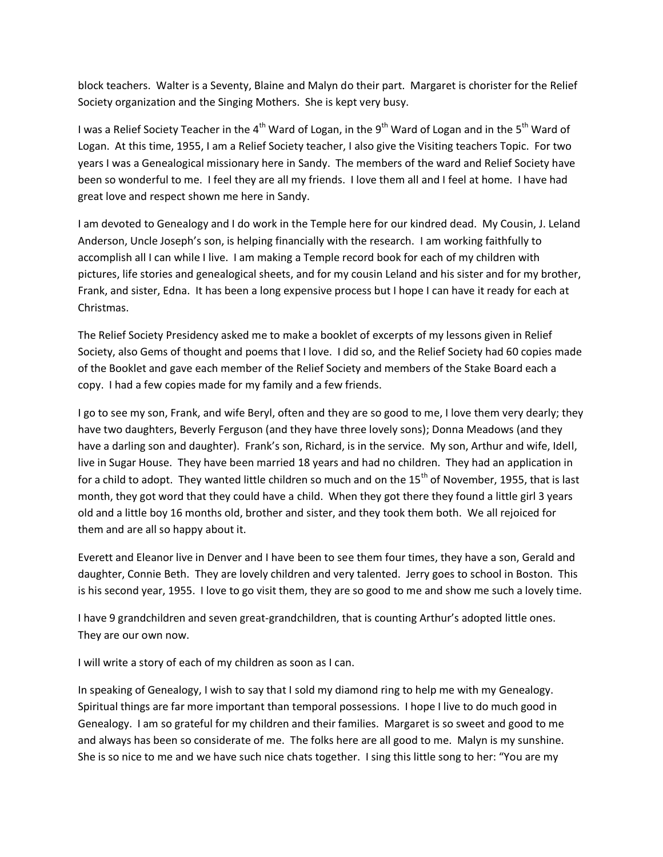block teachers. Walter is a Seventy, Blaine and Malyn do their part. Margaret is chorister for the Relief Society organization and the Singing Mothers. She is kept very busy.

I was a Relief Society Teacher in the 4<sup>th</sup> Ward of Logan, in the 9<sup>th</sup> Ward of Logan and in the 5<sup>th</sup> Ward of Logan. At this time, 1955, I am a Relief Society teacher, I also give the Visiting teachers Topic. For two years I was a Genealogical missionary here in Sandy. The members of the ward and Relief Society have been so wonderful to me. I feel they are all my friends. I love them all and I feel at home. I have had great love and respect shown me here in Sandy.

I am devoted to Genealogy and I do work in the Temple here for our kindred dead. My Cousin, J. Leland Anderson, Uncle Joseph's son, is helping financially with the research. I am working faithfully to accomplish all I can while I live. I am making a Temple record book for each of my children with pictures, life stories and genealogical sheets, and for my cousin Leland and his sister and for my brother, Frank, and sister, Edna. It has been a long expensive process but I hope I can have it ready for each at Christmas.

The Relief Society Presidency asked me to make a booklet of excerpts of my lessons given in Relief Society, also Gems of thought and poems that I love. I did so, and the Relief Society had 60 copies made of the Booklet and gave each member of the Relief Society and members of the Stake Board each a copy. I had a few copies made for my family and a few friends.

I go to see my son, Frank, and wife Beryl, often and they are so good to me, I love them very dearly; they have two daughters, Beverly Ferguson (and they have three lovely sons); Donna Meadows (and they have a darling son and daughter). Frank's son, Richard, is in the service. My son, Arthur and wife, Idell, live in Sugar House. They have been married 18 years and had no children. They had an application in for a child to adopt. They wanted little children so much and on the  $15<sup>th</sup>$  of November, 1955, that is last month, they got word that they could have a child. When they got there they found a little girl 3 years old and a little boy 16 months old, brother and sister, and they took them both. We all rejoiced for them and are all so happy about it.

Everett and Eleanor live in Denver and I have been to see them four times, they have a son, Gerald and daughter, Connie Beth. They are lovely children and very talented. Jerry goes to school in Boston. This is his second year, 1955. I love to go visit them, they are so good to me and show me such a lovely time.

I have 9 grandchildren and seven great-grandchildren, that is counting Arthur's adopted little ones. They are our own now.

I will write a story of each of my children as soon as I can.

In speaking of Genealogy, I wish to say that I sold my diamond ring to help me with my Genealogy. Spiritual things are far more important than temporal possessions. I hope I live to do much good in Genealogy. I am so grateful for my children and their families. Margaret is so sweet and good to me and always has been so considerate of me. The folks here are all good to me. Malyn is my sunshine. She is so nice to me and we have such nice chats together. I sing this little song to her: "You are my